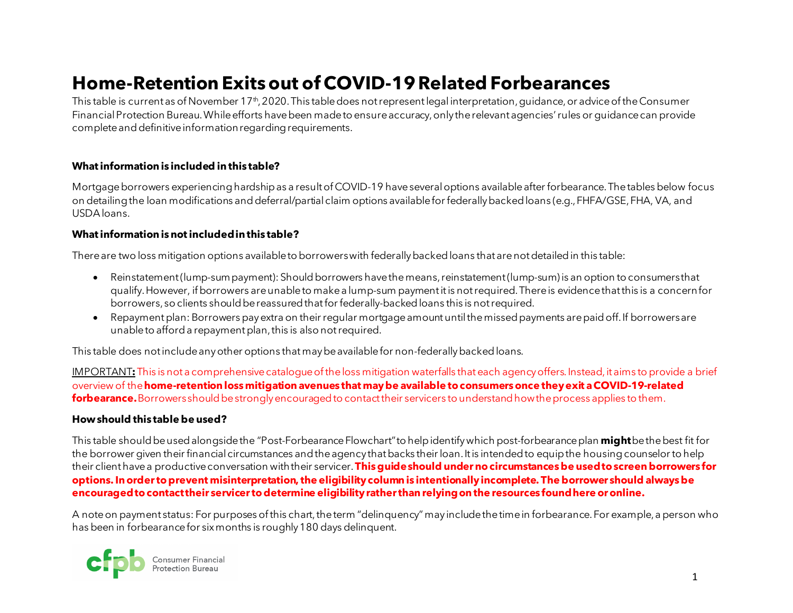# **Home-Retention Exitsout of COVID-19 Related Forbearances**

This table is current as of November 17<sup>th</sup>, 2020. This table does not represent legal interpretation, guidance, or advice of the Consumer Financial Protection Bureau. While efforts have been made to ensure accuracy, only the relevant agencies' rules or guidance can provide complete and definitive information regarding requirements.

### **What information is included in this table?**

Mortgage borrowers experiencing hardship as a result of COVID-19 have several options available after forbearance. The tables below focus on detailing the loan modifications anddeferral/partial claim options available for federally backed loans (e.g., FHFA/GSE, FHA, VA, and USDA loans.

#### **What information is not included in this table?**

There are two loss mitigation options available to borrowerswith federally backed loans that are not detailed in this table:

- Reinstatement (lump-sum payment): Should borrowers have the means, reinstatement (lump-sum) is an option to consumers that qualify. However, if borrowers are unable to make a lump-sum payment it is not required. There is evidencethat this is a concern for borrowers, so clients should be reassured that for federally-backed loans this is not required.
- Repayment plan: Borrowers pay extra on their regular mortgage amount until the missed payments are paid off. If borrowers are unable to afford a repayment plan, this is also not required.

This table does not include any other options that may be available for non-federally backed loans.

IMPORTANT**:**This is not a comprehensive catalogue of the loss mitigation waterfalls that each agency offers. Instead, it aims to provide a brief overview of the **home-retention loss mitigation avenues that may be available to consumers once they exit a COVID-19-related forbearance.** Borrowers should be strongly encouraged to contact their servicers to understand how the process applies to them.

### **How should this table be used?**

This table should be used alongside the "Post-Forbearance Flowchart" to help identify which post-forbearance plan **might**be the best fit for the borrower given their financial circumstances and the agency that backs their loan.It is intended to equip the housing counselorto help their clienthave a productive conversation with their servicer.**This guide should under no circumstances be used to screen borrowers for options. In order to prevent misinterpretation, the eligibility column is intentionally incomplete. The borrower should always be encouraged to contact their servicer to determine eligibility rather than relying on the resources found here or online.**

A note on payment status: For purposes of this chart, the term "delinquency" may includethe time in forbearance. For example, a person who has been in forbearance for six months is roughly 180 days delinquent.

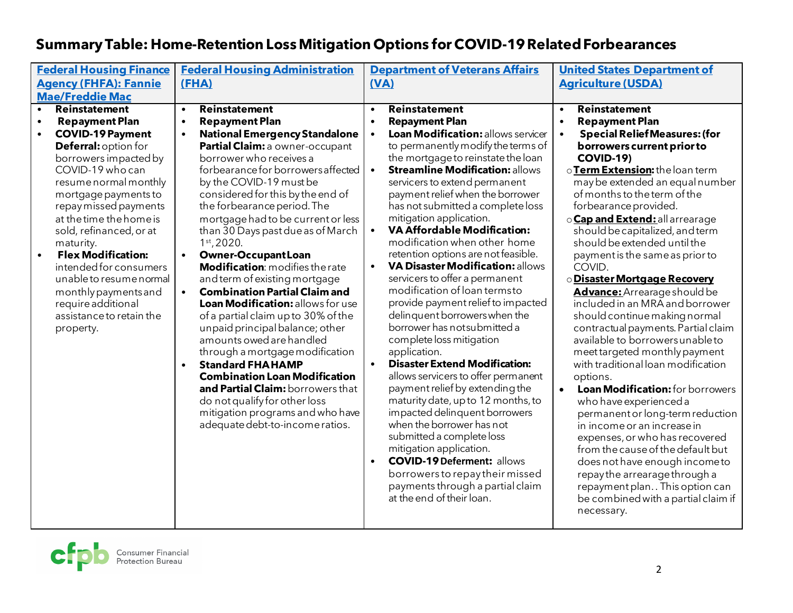| <b>Federal Housing Finance</b>         | <b>Federal Housing Administration</b>             | <b>Department of Veterans Affairs</b>           | <b>United States Department of</b>                |
|----------------------------------------|---------------------------------------------------|-------------------------------------------------|---------------------------------------------------|
| <b>Agency (FHFA): Fannie</b>           | (FHA)                                             | (VA)                                            | <b>Agriculture (USDA)</b>                         |
| <b>Mae/Freddie Mac</b>                 |                                                   |                                                 |                                                   |
| Reinstatement<br>$\bullet$             | Reinstatement<br>$\bullet$                        | Reinstatement<br>$\bullet$                      | Reinstatement<br>$\bullet$                        |
| <b>Repayment Plan</b><br>$\bullet$     | <b>Repayment Plan</b><br>$\bullet$                | <b>Repayment Plan</b><br>$\bullet$              | <b>Repayment Plan</b><br>$\bullet$                |
| <b>COVID-19 Payment</b><br>$\bullet$   | <b>National Emergency Standalone</b><br>$\bullet$ | Loan Modification: allows servicer<br>$\bullet$ | <b>Special Relief Measures: (for</b><br>$\bullet$ |
| <b>Deferral: option for</b>            | Partial Claim: a owner-occupant                   | to permanently modify the terms of              | borrowers current prior to                        |
| borrowers impacted by                  | borrower who receives a                           | the mortgage to reinstate the loan              | <b>COVID-19)</b>                                  |
| COVID-19 who can                       | forbearance for borrowers affected                | <b>Streamline Modification: allows</b>          | o Term Extension: the loan term                   |
| resume normal monthly                  | by the COVID-19 must be                           | servicers to extend permanent                   | may be extended an equal number                   |
| mortgage payments to                   | considered for this by the end of                 | payment relief when the borrower                | of months to the term of the                      |
| repay missed payments                  | the forbearance period. The                       | has not submitted a complete loss               | forbearance provided.                             |
| at the time the home is                | mortgage had to be current or less                | mitigation application.                         | o <b>Cap and Extend:</b> all arrearage            |
| sold, refinanced, or at                | than 30 Days past due as of March                 | <b>VA Affordable Modification:</b>              | should be capitalized, and term                   |
| maturity.                              | $1st$ , 2020.                                     | modification when other home                    | should be extended until the                      |
| <b>Flex Modification:</b><br>$\bullet$ | <b>Owner-OccupantLoan</b>                         | retention options are not feasible.             | payment is the same as prior to                   |
| intended for consumers                 | Modification: modifies the rate                   | VA Disaster Modification: allows<br>$\bullet$   | COVID.                                            |
| unable to resume normal                | and term of existing mortgage                     | servicers to offer a permanent                  | <b>ODisaster Mortgage Recovery</b>                |
| monthly payments and                   | <b>Combination Partial Claim and</b>              | modification of loan termsto                    | Advance: Arrearage should be                      |
| require additional                     | Loan Modification: allows for use                 | provide payment relief to impacted              | included in an MRA and borrower                   |
| assistance to retain the               | of a partial claim up to 30% of the               | delinquent borrowers when the                   | should continue making normal                     |
| property.                              | unpaid principal balance; other                   | borrower has not submitted a                    | contractual payments. Partial claim               |
|                                        | amounts owed are handled                          | complete loss mitigation                        | available to borrowersunable to                   |
|                                        | through a mortgage modification                   | application.                                    | meet targeted monthly payment                     |
|                                        | <b>Standard FHAHAMP</b><br>$\bullet$              | <b>Disaster Extend Modification:</b>            | with traditional loan modification                |
|                                        | <b>Combination Loan Modification</b>              | allows servicers to offer permanent             | options.                                          |
|                                        | and Partial Claim: borrowers that                 | payment relief by extending the                 | Loan Modification: for borrowers<br>$\bullet$     |
|                                        | do not qualify for other loss                     | maturity date, up to 12 months, to              | who have experienced a                            |
|                                        | mitigation programs and who have                  | impacted delinquent borrowers                   | permanent or long-term reduction                  |
|                                        | adequate debt-to-income ratios.                   | when the borrower has not                       | in income or an increase in                       |
|                                        |                                                   | submitted a complete loss                       | expenses, or who has recovered                    |
|                                        |                                                   | mitigation application.                         | from the cause of the default but                 |
|                                        |                                                   | <b>COVID-19 Deferment: allows</b><br>$\bullet$  | does not have enough income to                    |
|                                        |                                                   | borrowers to repay their missed                 | repay the arrearage through a                     |
|                                        |                                                   | payments through a partial claim                | repayment plan This option can                    |
|                                        |                                                   | at the end of their loan.                       | be combined with a partial claim if               |
|                                        |                                                   |                                                 | necessary.                                        |
|                                        |                                                   |                                                 |                                                   |

## **Summary Table: Home-Retention Loss Mitigation Options for COVID-19 Related Forbearances**

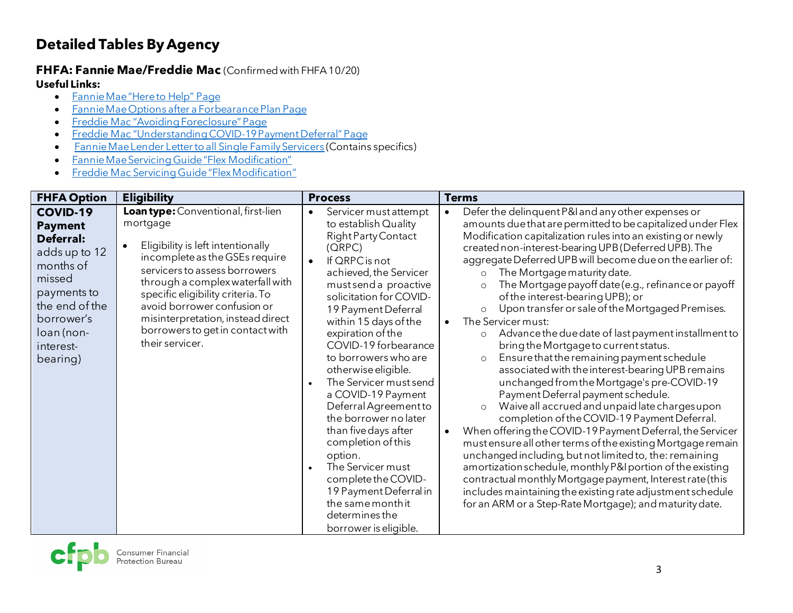### **Detailed Tables By Agency**

### <span id="page-2-0"></span>**FHFA: Fannie Mae/Freddie Mac** (Confirmed with FHFA 10/20) **Useful Links:**

- [Fannie Mae "Here to Help" Page](https://www.fanniemae.com/here-help-homeowners)
- [Fannie Mae Options after a Forbearance Plan Page](https://capmrkt.fanniemae.com/heretohelp/posts/options-after-a-forbearance-plan-or-resolved-covid-19-hardship/index.html?_ga=2.169206370.2128475572.1603732678-184332200.1597677812)
- [Freddie Mac "Avoiding Foreclosure" Page](https://myhome.freddiemac.com/docs/avoiding_foreclosure.pdf)
- [Freddie Mac "Understanding COVID-19 Payment Deferral" Page](http://www.freddiemac.com/blog/homeownership/20200514_understanding_payment_deferral.page?)
- [Fannie Mae Lender Letter to all Single Family Servicers](https://singlefamily.fanniemae.com/media/22261/display) (Contains specifics)
- [Fannie Mae Servicing Guide "Flex Modification"](https://servicing-guide.fanniemae.com/THE-SERVICING-GUIDE/Part-D-Providing-Solutions-to-a-Borrower/Subpart-D2-Assisting-a-Borrower-Who-is-Facing-Default-or/Chapter-D2-3-Fannie-Mae-s-Home-Retention-and-Liquidation/Section-D2-3-2-Home-Retention-Workout-Options/D2-3-2-06-Fannie-Mae-Flex-Modification/1042575201/D2-3-2-06-Fannie-Mae-Flex-Modification-09-18-2018.htm?touchpoint=guide)
- [Freddie Mac Servicing Guide "Flex Modification"](https://guide.freddiemac.com/app/guide/section/9206.5)

| <b>FHFA Option</b>                                                                                                                                                           | <b>Eligibility</b>                                                                                                                                                                                                                                                                                                                                                       | <b>Process</b>                                                                                                                                                                                                                                                                                                                                                                                                                                                                                                                                                                                                                                                     | <b>Terms</b>                                                                                                                                                                                                                                                                                                                                                                                                                                                                                                                                                                                                                                                                                                                                                                                                                                                                                                                                                                                                                                                                                                                                                                                                                                                                                                                                                                                                                   |
|------------------------------------------------------------------------------------------------------------------------------------------------------------------------------|--------------------------------------------------------------------------------------------------------------------------------------------------------------------------------------------------------------------------------------------------------------------------------------------------------------------------------------------------------------------------|--------------------------------------------------------------------------------------------------------------------------------------------------------------------------------------------------------------------------------------------------------------------------------------------------------------------------------------------------------------------------------------------------------------------------------------------------------------------------------------------------------------------------------------------------------------------------------------------------------------------------------------------------------------------|--------------------------------------------------------------------------------------------------------------------------------------------------------------------------------------------------------------------------------------------------------------------------------------------------------------------------------------------------------------------------------------------------------------------------------------------------------------------------------------------------------------------------------------------------------------------------------------------------------------------------------------------------------------------------------------------------------------------------------------------------------------------------------------------------------------------------------------------------------------------------------------------------------------------------------------------------------------------------------------------------------------------------------------------------------------------------------------------------------------------------------------------------------------------------------------------------------------------------------------------------------------------------------------------------------------------------------------------------------------------------------------------------------------------------------|
| <b>COVID-19</b><br><b>Payment</b><br>Deferral:<br>adds up to 12<br>months of<br>missed<br>payments to<br>the end of the<br>borrower's<br>loan (non-<br>interest-<br>bearing) | Loan type: Conventional, first-lien<br>mortgage<br>Eligibility is left intentionally<br>$\bullet$<br>incomplete as the GSEs require<br>servicers to assess borrowers<br>through a complex waterfall with<br>specific eligibility criteria. To<br>avoid borrower confusion or<br>misinterpretation, instead direct<br>borrowers to get in contact with<br>their servicer. | Servicer must attempt<br>$\bullet$<br>to establish Quality<br>Right Party Contact<br>(QRPC)<br>If QRPC is not<br>$\bullet$<br>achieved, the Servicer<br>must send a proactive<br>solicitation for COVID-<br>19 Payment Deferral<br>within 15 days of the<br>expiration of the<br>COVID-19 forbearance<br>to borrowers who are<br>otherwise eligible.<br>The Servicer must send<br>a COVID-19 Payment<br>Deferral Agreement to<br>the borrower no later<br>than five days after<br>completion of this<br>option.<br>The Servicer must<br>$\bullet$<br>complete the COVID-<br>19 Payment Deferral in<br>the same month it<br>determines the<br>borrower is eligible. | Defer the delinquent P&I and any other expenses or<br>$\bullet$<br>amounts due that are permitted to be capitalized under Flex<br>Modification capitalization rules into an existing or newly<br>created non-interest-bearing UPB (Deferred UPB). The<br>aggregate Deferred UPB will become due on the earlier of:<br>The Mortgage maturity date.<br>$\circ$<br>The Mortgage payoff date (e.g., refinance or payoff<br>$\Omega$<br>of the interest-bearing UPB); or<br>Upon transfer or sale of the Mortgaged Premises.<br>$\circ$<br>The Servicer must:<br>Advance the due date of last payment installment to<br>$\circ$<br>bring the Mortgage to current status.<br>Ensure that the remaining payment schedule<br>$\circ$<br>associated with the interest-bearing UPB remains<br>unchanged from the Mortgage's pre-COVID-19<br>Payment Deferral payment schedule.<br>Waive all accrued and unpaid late charges upon<br>completion of the COVID-19 Payment Deferral.<br>When offering the COVID-19 Payment Deferral, the Servicer<br>$\bullet$<br>must ensure all other terms of the existing Mortgage remain<br>unchanged including, but not limited to, the: remaining<br>amortization schedule, monthly P&I portion of the existing<br>contractual monthly Mortgage payment, Interest rate (this<br>includes maintaining the existing rate adjustment schedule<br>for an ARM or a Step-Rate Mortgage); and maturity date. |

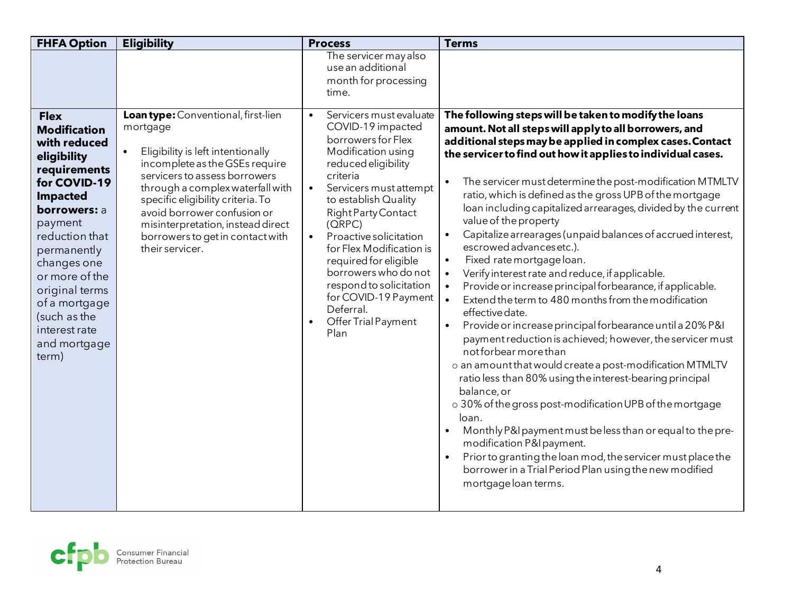| <b>FHFA Option</b>                                                                                                                                                                                                                                                                                                    | <b>Eligibility</b>                                                                                                                                                                                                                                                                                                                                                       | <b>Process</b>                                                                                                                                                                                                                                                                                                                                                                                                                                              | <b>Terms</b>                                                                                                                                                                                                                                                                                                                                                                                                                                                                                                                                                                                                                                                                                                                                                                                                                                                                                                                                                                                                                                                                                                                                                                                                                                                                                                                                                                                                                                                                           |
|-----------------------------------------------------------------------------------------------------------------------------------------------------------------------------------------------------------------------------------------------------------------------------------------------------------------------|--------------------------------------------------------------------------------------------------------------------------------------------------------------------------------------------------------------------------------------------------------------------------------------------------------------------------------------------------------------------------|-------------------------------------------------------------------------------------------------------------------------------------------------------------------------------------------------------------------------------------------------------------------------------------------------------------------------------------------------------------------------------------------------------------------------------------------------------------|----------------------------------------------------------------------------------------------------------------------------------------------------------------------------------------------------------------------------------------------------------------------------------------------------------------------------------------------------------------------------------------------------------------------------------------------------------------------------------------------------------------------------------------------------------------------------------------------------------------------------------------------------------------------------------------------------------------------------------------------------------------------------------------------------------------------------------------------------------------------------------------------------------------------------------------------------------------------------------------------------------------------------------------------------------------------------------------------------------------------------------------------------------------------------------------------------------------------------------------------------------------------------------------------------------------------------------------------------------------------------------------------------------------------------------------------------------------------------------------|
|                                                                                                                                                                                                                                                                                                                       |                                                                                                                                                                                                                                                                                                                                                                          | The servicer may also<br>use an additional<br>month for processing<br>time.                                                                                                                                                                                                                                                                                                                                                                                 |                                                                                                                                                                                                                                                                                                                                                                                                                                                                                                                                                                                                                                                                                                                                                                                                                                                                                                                                                                                                                                                                                                                                                                                                                                                                                                                                                                                                                                                                                        |
| <b>Flex</b><br><b>Modification</b><br>with reduced<br>eligibility<br>requirements<br>for COVID-19<br><b>Impacted</b><br><b>borrowers: a</b><br>payment<br>reduction that<br>permanently<br>changes one<br>or more of the<br>original terms<br>of a mortgage<br>(such as the<br>interest rate<br>and mortgage<br>term) | Loan type: Conventional, first-lien<br>mortgage<br>Eligibility is left intentionally<br>$\bullet$<br>incomplete as the GSEs require<br>servicers to assess borrowers<br>through a complex waterfall with<br>specific eligibility criteria. To<br>avoid borrower confusion or<br>misinterpretation, instead direct<br>borrowers to get in contact with<br>their servicer. | Servicers must evaluate<br>$\bullet$<br>COVID-19 impacted<br>borrowers for Flex<br>Modification using<br>reduced eligibility<br>criteria<br>Servicers must attempt<br>$\bullet$<br>to establish Quality<br>Right Party Contact<br>(ORPC)<br>Proactive solicitation<br>$\bullet$<br>for Flex Modification is<br>required for eligible<br>borrowers who do not<br>respond to solicitation<br>for COVID-19 Payment<br>Deferral.<br>Offer Trial Payment<br>Plan | The following steps will be taken to modify the loans<br>amount. Not all steps will apply to all borrowers, and<br>additional steps may be applied in complex cases. Contact<br>the servicer to find out how it applies to individual cases.<br>The servicer must determine the post-modification MTMLTV<br>$\bullet$<br>ratio, which is defined as the gross UPB of the mortgage<br>loan including capitalized arrearages, divided by the current<br>value of the property<br>Capitalize arrearages (unpaid balances of accrued interest,<br>$\bullet$<br>escrowed advances etc.).<br>Fixed rate mortgage loan.<br>$\bullet$<br>Verify interest rate and reduce, if applicable.<br>Provide or increase principal forbearance, if applicable.<br>Extend the term to 480 months from the modification<br>$\bullet$<br>effective date.<br>Provide or increase principal forbearance until a 20% P&I<br>$\bullet$<br>payment reduction is achieved; however, the servicer must<br>not forbear more than<br>o an amount that would create a post-modification MTMLTV<br>ratio less than 80% using the interest-bearing principal<br>balance, or<br>o 30% of the gross post-modification UPB of the mortgage<br>loan.<br>Monthly P&I payment must be less than or equal to the pre-<br>$\bullet$<br>modification P&I payment.<br>Prior to granting the loan mod, the servicer must place the<br>$\bullet$<br>borrower in a Trial Period Plan using the new modified<br>mortgage loan terms. |

<span id="page-3-0"></span>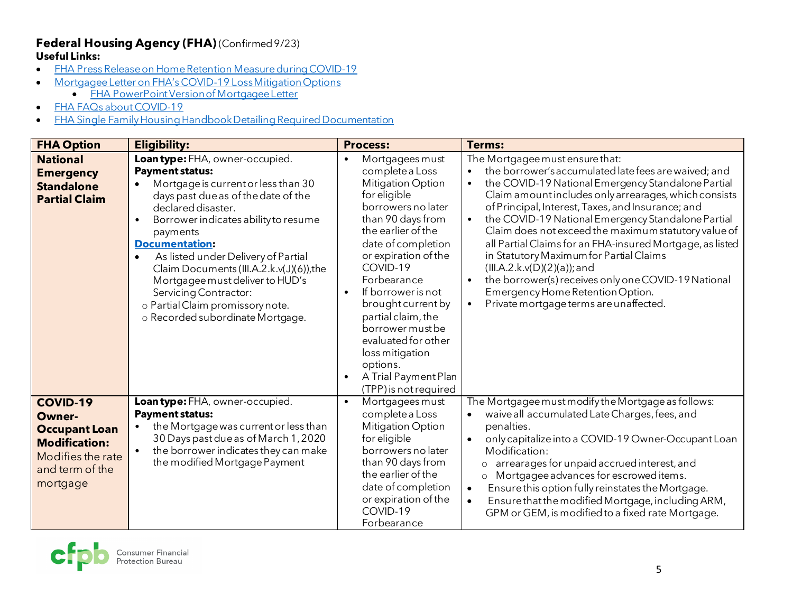### **Federal Housing Agency (FHA)** (Confirmed 9/23) **Useful Links:**

- [FHA Press Release on Home Retention Measure during COVID-19](https://www.hud.gov/press/press_releases_media_advisories/HUD_No_20_102)
- [Mortgagee Letter on FHA's COVID-19 Loss Mitigation Options](https://www.hud.gov/sites/dfiles/OCHCO/documents/20-22hsgml.pdf)
	- [FHA PowerPoint Version of Mortgagee Letter](https://www.hud.gov/sites/dfiles/SFH/documents/COVID-19%20Loss%20Mitigation%20Options%208.5.20.pdf)
- [FHA FAQs about COVID-19](https://www.hud.gov/answers)
- [FHA Single Family Housing Handbook Detailing Required Documentation](https://www.hud.gov/sites/dfiles/OCHCO/documents/4000.1hsgh_Update7.5.pdf)

| <b>FHA Option</b>                                                                                                                    | <b>Eligibility:</b>                                                                                                                                                                                                                                                                                                                                                                                                                                                      | <b>Process:</b>                                                                                                                                                                                                                                                                                                                                                                                                | <b>Terms:</b>                                                                                                                                                                                                                                                                                                                                                                                                                                                                                                                                                                                                                                                                                |
|--------------------------------------------------------------------------------------------------------------------------------------|--------------------------------------------------------------------------------------------------------------------------------------------------------------------------------------------------------------------------------------------------------------------------------------------------------------------------------------------------------------------------------------------------------------------------------------------------------------------------|----------------------------------------------------------------------------------------------------------------------------------------------------------------------------------------------------------------------------------------------------------------------------------------------------------------------------------------------------------------------------------------------------------------|----------------------------------------------------------------------------------------------------------------------------------------------------------------------------------------------------------------------------------------------------------------------------------------------------------------------------------------------------------------------------------------------------------------------------------------------------------------------------------------------------------------------------------------------------------------------------------------------------------------------------------------------------------------------------------------------|
| <b>National</b><br><b>Emergency</b><br><b>Standalone</b><br><b>Partial Claim</b>                                                     | Loan type: FHA, owner-occupied.<br><b>Payment status:</b><br>Mortgage is current or less than 30<br>days past due as of the date of the<br>declared disaster.<br>Borrower indicates ability to resume<br>payments<br><b>Documentation:</b><br>As listed under Delivery of Partial<br>Claim Documents (III.A.2.k.v(J)(6)), the<br>Mortgagee must deliver to HUD's<br><b>Servicing Contractor:</b><br>o Partial Claim promissory note.<br>o Recorded subordinate Mortgage. | Mortgagees must<br>complete a Loss<br>Mitigation Option<br>for eligible<br>borrowers no later<br>than 90 days from<br>the earlier of the<br>date of completion<br>or expiration of the<br>COVID-19<br>Forbearance<br>If borrower is not<br>brought current by<br>partial claim, the<br>borrower must be<br>evaluated for other<br>loss mitigation<br>options.<br>A Trial Payment Plan<br>(TPP) is not required | The Mortgagee must ensure that:<br>the borrower's accumulated late fees are waived; and<br>the COVID-19 National Emergency Standalone Partial<br>Claim amount includes only arrearages, which consists<br>of Principal, Interest, Taxes, and Insurance; and<br>the COVID-19 National Emergency Standalone Partial<br>$\bullet$<br>Claim does not exceed the maximum statutory value of<br>all Partial Claims for an FHA-insured Mortgage, as listed<br>in Statutory Maximum for Partial Claims<br>(III.A.2.k.v(D)(2)(a)); and<br>the borrower(s) receives only one COVID-19 National<br>$\bullet$<br>Emergency Home Retention Option.<br>Private mortgage terms are unaffected.<br>$\bullet$ |
| <b>COVID-19</b><br><b>Owner-</b><br><b>Occupant Loan</b><br><b>Modification:</b><br>Modifies the rate<br>and term of the<br>mortgage | Loan type: FHA, owner-occupied.<br><b>Payment status:</b><br>the Mortgage was current or less than<br>30 Days past due as of March 1, 2020<br>the borrower indicates they can make<br>the modified Mortgage Payment                                                                                                                                                                                                                                                      | Mortgagees must<br>$\bullet$<br>complete a Loss<br>Mitigation Option<br>for eligible<br>borrowers no later<br>than 90 days from<br>the earlier of the<br>date of completion<br>or expiration of the<br>COVID-19<br>Forbearance                                                                                                                                                                                 | The Mortgagee must modify the Mortgage as follows:<br>waive all accumulated Late Charges, fees, and<br>$\bullet$<br>penalties.<br>only capitalize into a COVID-19 Owner-Occupant Loan<br>$\bullet$<br>Modification:<br>arrearages for unpaid accrued interest, and<br>$\circ$<br>Mortgagee advances for escrowed items.<br>$\circ$<br>Ensure this option fully reinstates the Mortgage.<br>$\bullet$<br>Ensure that the modified Mortgage, including ARM,<br>$\bullet$<br>GPM or GEM, is modified to a fixed rate Mortgage.                                                                                                                                                                  |

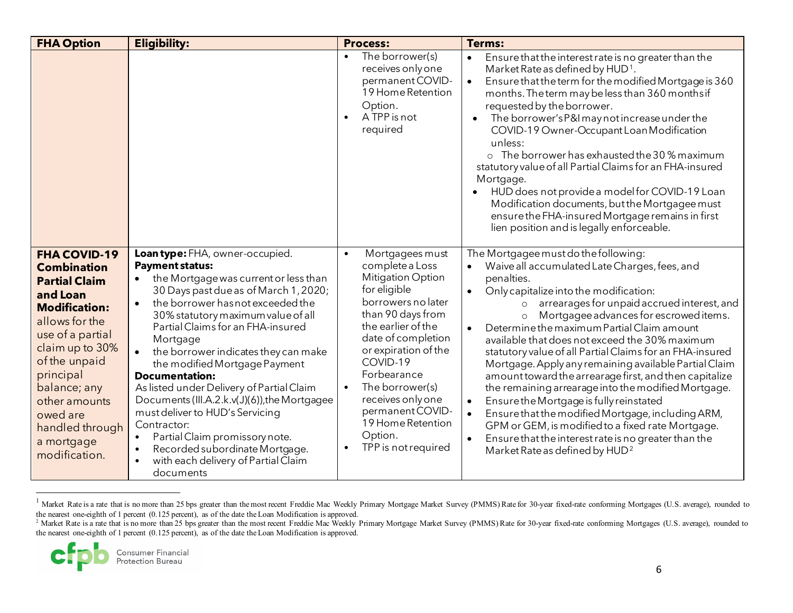<span id="page-5-1"></span><span id="page-5-0"></span>

| <b>FHA Option</b>                                                                                                                                                                                                                                                                           | <b>Eligibility:</b>                                                                                                                                                                                                                                                                                                                                                                                                                                                                                                                                                                                                                                                       | <b>Process:</b>                                                                                                                                                                                                                                                                                                                                          | <b>Terms:</b>                                                                                                                                                                                                                                                                                                                                                                                                                                                                                                                                                                                                                                                                                                                                                                                                                                                                                                                  |
|---------------------------------------------------------------------------------------------------------------------------------------------------------------------------------------------------------------------------------------------------------------------------------------------|---------------------------------------------------------------------------------------------------------------------------------------------------------------------------------------------------------------------------------------------------------------------------------------------------------------------------------------------------------------------------------------------------------------------------------------------------------------------------------------------------------------------------------------------------------------------------------------------------------------------------------------------------------------------------|----------------------------------------------------------------------------------------------------------------------------------------------------------------------------------------------------------------------------------------------------------------------------------------------------------------------------------------------------------|--------------------------------------------------------------------------------------------------------------------------------------------------------------------------------------------------------------------------------------------------------------------------------------------------------------------------------------------------------------------------------------------------------------------------------------------------------------------------------------------------------------------------------------------------------------------------------------------------------------------------------------------------------------------------------------------------------------------------------------------------------------------------------------------------------------------------------------------------------------------------------------------------------------------------------|
|                                                                                                                                                                                                                                                                                             |                                                                                                                                                                                                                                                                                                                                                                                                                                                                                                                                                                                                                                                                           | The borrower(s)<br>$\bullet$<br>receives only one<br>permanent COVID-<br>19 Home Retention<br>Option.<br>A TPP is not<br>required                                                                                                                                                                                                                        | Ensure that the interest rate is no greater than the<br>$\bullet$<br>Market Rate as defined by HUD <sup>1</sup> .<br>Ensure that the term for the modified Mortgage is 360<br>$\bullet$<br>months. The term may be less than 360 months if<br>requested by the borrower.<br>The borrower's P&I may not increase under the<br>$\bullet$<br>COVID-19 Owner-Occupant Loan Modification<br>unless:<br>o The borrower has exhausted the 30 % maximum<br>statutory value of all Partial Claims for an FHA-insured<br>Mortgage.<br>HUD does not provide a model for COVID-19 Loan<br>Modification documents, but the Mortgagee must<br>ensure the FHA-insured Mortgage remains in first<br>lien position and is legally enforceable.                                                                                                                                                                                                  |
| <b>FHA COVID-19</b><br><b>Combination</b><br><b>Partial Claim</b><br>and Loan<br><b>Modification:</b><br>allows for the<br>use of a partial<br>claim up to 30%<br>of the unpaid<br>principal<br>balance; any<br>other amounts<br>owed are<br>handled through<br>a mortgage<br>modification. | Loantype: FHA, owner-occupied.<br><b>Payment status:</b><br>the Mortgage was current or less than<br>30 Days past due as of March 1, 2020;<br>the borrower has not exceeded the<br>$\bullet$<br>30% statutory maximum value of all<br>Partial Claims for an FHA-insured<br>Mortgage<br>the borrower indicates they can make<br>the modified Mortgage Payment<br><b>Documentation:</b><br>As listed under Delivery of Partial Claim<br>Documents (III.A.2.k.v(J)(6)), the Mortgagee<br>must deliver to HUD's Servicing<br>Contractor:<br>Partial Claim promissory note.<br>Recorded subordinate Mortgage.<br>$\bullet$<br>with each delivery of Partial Claim<br>documents | Mortgagees must<br>complete a Loss<br><b>Mitigation Option</b><br>for eligible<br>borrowers no later<br>than 90 days from<br>the earlier of the<br>date of completion<br>or expiration of the<br>COVID-19<br>Forbearance<br>The borrower(s)<br>$\bullet$<br>receives only one<br>permanent COVID-<br>19 Home Retention<br>Option.<br>TPP is not required | The Mortgagee must do the following:<br>Waive all accumulated Late Charges, fees, and<br>penalties.<br>Only capitalize into the modification:<br>$\bullet$<br>arrearages for unpaid accrued interest, and<br>$\circ$<br>Mortgagee advances for escrowed items.<br>$\circ$<br>Determine the maximum Partial Claim amount<br>$\bullet$<br>available that does not exceed the 30% maximum<br>statutory value of all Partial Claims for an FHA-insured<br>Mortgage. Apply any remaining available Partial Claim<br>amount toward the arrearage first, and then capitalize<br>the remaining arrearage into the modified Mortgage.<br>Ensure the Mortgage is fully reinstated<br>$\bullet$<br>Ensure that the modified Mortgage, including ARM,<br>$\bullet$<br>GPM or GEM, is modified to a fixed rate Mortgage.<br>Ensure that the interest rate is no greater than the<br>$\bullet$<br>Market Rate as defined by HUD <sup>2</sup> |

<sup>&</sup>lt;sup>1</sup> Market Rate is a rate that is no more than 25 bps greater than the most recent Freddie Mac Weekly Primary Mortgage Market Survey (PMMS) Rate for 30-year fixed-rate conforming Mortgages (U.S. average), rounded to the ne

6

<sup>&</sup>lt;sup>2</sup> Market Rate is a rate that is no more than 25 bps greater than the most recent Freddie Mac Weekly Primary Mortgage Market Survey (PMMS) Rate for 30-year fixed-rate conforming Mortgages (U.S. average), rounded to the nearest one-eighth of 1 percent (0.125 percent), as of the date the Loan Modification is approved.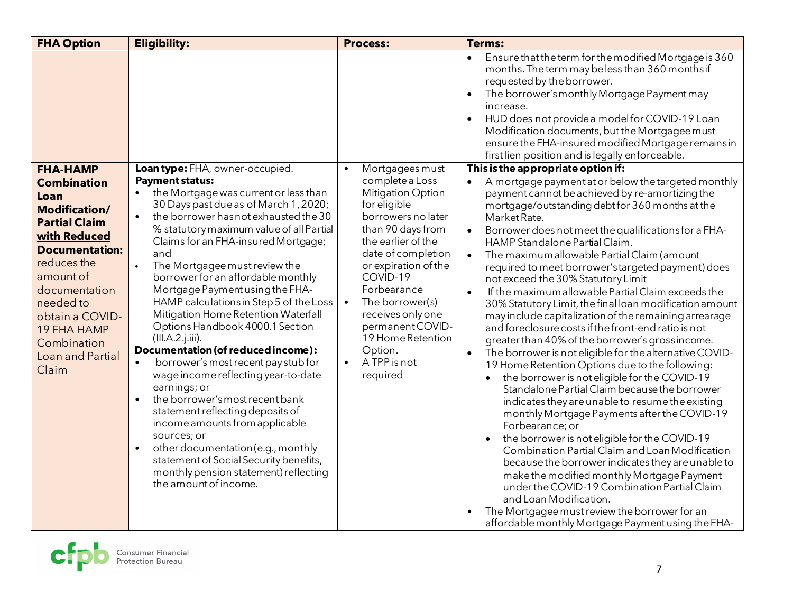| <b>FHA Option</b>                                                                                                                                                                                                                                                              | <b>Eligibility:</b>                                                                                                                                                                                                                                                                                                                                                                                                                                                                                                                                                                                                                                                                                                                                                                                                                                                                                                                                                                                | <b>Process:</b>                                                                                                                                                                                                                                                                                                                                                                         | <b>Terms:</b>                                                                                                                                                                                                                                                                                                                                                                                                                                                                                                                                                                                                                                                                                                                                                                                                                                                                                                                                                                                                                                                                                                                                                                                                                                                                                                                                                                                                                                                                                                                            |
|--------------------------------------------------------------------------------------------------------------------------------------------------------------------------------------------------------------------------------------------------------------------------------|----------------------------------------------------------------------------------------------------------------------------------------------------------------------------------------------------------------------------------------------------------------------------------------------------------------------------------------------------------------------------------------------------------------------------------------------------------------------------------------------------------------------------------------------------------------------------------------------------------------------------------------------------------------------------------------------------------------------------------------------------------------------------------------------------------------------------------------------------------------------------------------------------------------------------------------------------------------------------------------------------|-----------------------------------------------------------------------------------------------------------------------------------------------------------------------------------------------------------------------------------------------------------------------------------------------------------------------------------------------------------------------------------------|------------------------------------------------------------------------------------------------------------------------------------------------------------------------------------------------------------------------------------------------------------------------------------------------------------------------------------------------------------------------------------------------------------------------------------------------------------------------------------------------------------------------------------------------------------------------------------------------------------------------------------------------------------------------------------------------------------------------------------------------------------------------------------------------------------------------------------------------------------------------------------------------------------------------------------------------------------------------------------------------------------------------------------------------------------------------------------------------------------------------------------------------------------------------------------------------------------------------------------------------------------------------------------------------------------------------------------------------------------------------------------------------------------------------------------------------------------------------------------------------------------------------------------------|
|                                                                                                                                                                                                                                                                                |                                                                                                                                                                                                                                                                                                                                                                                                                                                                                                                                                                                                                                                                                                                                                                                                                                                                                                                                                                                                    |                                                                                                                                                                                                                                                                                                                                                                                         | Ensure that the term for the modified Mortgage is 360<br>$\bullet$<br>months. The term may be less than 360 months if<br>requested by the borrower.<br>The borrower's monthly Mortgage Payment may<br>increase.<br>HUD does not provide a model for COVID-19 Loan<br>Modification documents, but the Mortgagee must<br>ensure the FHA-insured modified Mortgage remains in<br>first lien position and is legally enforceable.                                                                                                                                                                                                                                                                                                                                                                                                                                                                                                                                                                                                                                                                                                                                                                                                                                                                                                                                                                                                                                                                                                            |
| <b>FHA-HAMP</b><br><b>Combination</b><br>Loan<br><b>Modification/</b><br><b>Partial Claim</b><br>with Reduced<br><b>Documentation:</b><br>reduces the<br>amount of<br>documentation<br>needed to<br>obtain a COVID-<br>19 FHA HAMP<br>Combination<br>Loan and Partial<br>Claim | Loantype: FHA, owner-occupied.<br><b>Payment status:</b><br>the Mortgage was current or less than<br>30 Days past due as of March 1, 2020;<br>the borrower has not exhausted the 30<br>$\bullet$<br>% statutory maximum value of all Partial<br>Claims for an FHA-insured Mortgage;<br>and<br>The Mortgagee must review the<br>borrower for an affordable monthly<br>Mortgage Payment using the FHA-<br>HAMP calculations in Step 5 of the Loss<br>Mitigation Home Retention Waterfall<br>Options Handbook 4000.1 Section<br>(III.A.2.j.iii).<br>Documentation (of reduced income):<br>borrower's most recent pay stub for<br>$\bullet$<br>wage income reflecting year-to-date<br>earnings; or<br>the borrower's most recent bank<br>$\bullet$<br>statement reflecting deposits of<br>income amounts from applicable<br>sources; or<br>other documentation (e.g., monthly<br>$\bullet$<br>statement of Social Security benefits,<br>monthly pension statement) reflecting<br>the amount of income. | Mortgagees must<br>$\bullet$<br>complete a Loss<br><b>Mitigation Option</b><br>for eligible<br>borrowers no later<br>than 90 days from<br>the earlier of the<br>date of completion<br>or expiration of the<br>COVID-19<br>Forbearance<br>The borrower(s)<br>$\bullet$<br>receives only one<br>permanent COVID-<br>19 Home Retention<br>Option.<br>A TPP is not<br>$\bullet$<br>required | This is the appropriate option if:<br>A mortgage payment at or below the targeted monthly<br>$\bullet$<br>payment cannot be achieved by re-amortizing the<br>mortgage/outstanding debt for 360 months at the<br>Market Rate.<br>Borrower does not meet the qualifications for a FHA-<br>$\bullet$<br>HAMP Standalone Partial Claim.<br>The maximum allowable Partial Claim (amount<br>$\bullet$<br>required to meet borrower's targeted payment) does<br>not exceed the 30% Statutory Limit<br>If the maximum allowable Partial Claim exceeds the<br>$\bullet$<br>30% Statutory Limit, the final loan modification amount<br>may include capitalization of the remaining arrearage<br>and foreclosure costs if the front-end ratio is not<br>greater than 40% of the borrower's grossincome.<br>The borrower is not eligible for the alternative COVID-<br>19 Home Retention Options due to the following:<br>the borrower is not eligible for the COVID-19<br>$\bullet$<br>Standalone Partial Claim because the borrower<br>indicates they are unable to resume the existing<br>monthly Mortgage Payments after the COVID-19<br>Forbearance; or<br>the borrower is not eligible for the COVID-19<br>Combination Partial Claim and Loan Modification<br>because the borrower indicates they are unable to<br>make the modified monthly Mortgage Payment<br>under the COVID-19 Combination Partial Claim<br>and Loan Modification.<br>The Mortgagee must review the borrower for an<br>affordable monthly Mortgage Payment using the FHA- |

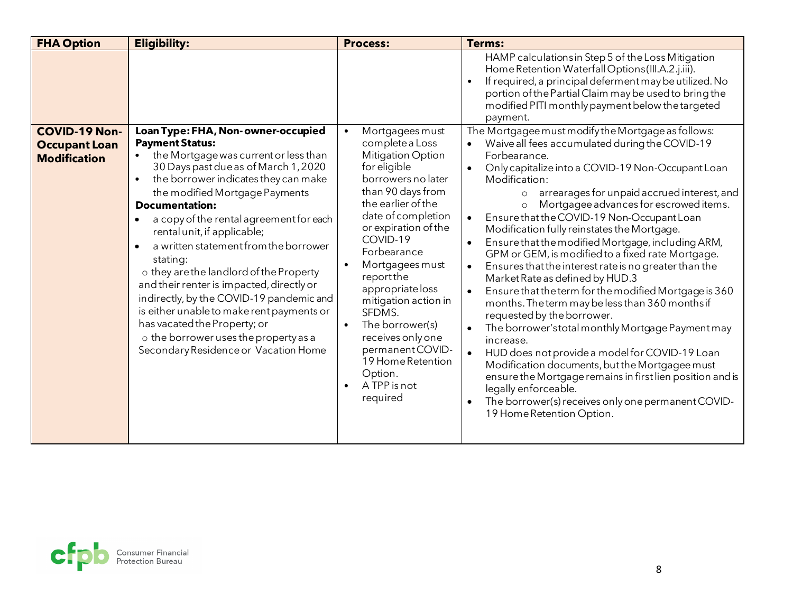| <b>FHA Option</b>                                                   | <b>Eligibility:</b>                                                                                                                                                                                                                                                                                                                                                                                                                                                                                                                                                                                                                                                                                         | <b>Process:</b>                                                                                                                                                                                                                                                                                                                                                                                                                         | <b>Terms:</b>                                                                                                                                                                                                                                                                                                                                                                                                                                                                                                                                                                                                                                                                                                                                                                                                                                                                                                                                                                                                                                                                                                                                                                       |
|---------------------------------------------------------------------|-------------------------------------------------------------------------------------------------------------------------------------------------------------------------------------------------------------------------------------------------------------------------------------------------------------------------------------------------------------------------------------------------------------------------------------------------------------------------------------------------------------------------------------------------------------------------------------------------------------------------------------------------------------------------------------------------------------|-----------------------------------------------------------------------------------------------------------------------------------------------------------------------------------------------------------------------------------------------------------------------------------------------------------------------------------------------------------------------------------------------------------------------------------------|-------------------------------------------------------------------------------------------------------------------------------------------------------------------------------------------------------------------------------------------------------------------------------------------------------------------------------------------------------------------------------------------------------------------------------------------------------------------------------------------------------------------------------------------------------------------------------------------------------------------------------------------------------------------------------------------------------------------------------------------------------------------------------------------------------------------------------------------------------------------------------------------------------------------------------------------------------------------------------------------------------------------------------------------------------------------------------------------------------------------------------------------------------------------------------------|
|                                                                     |                                                                                                                                                                                                                                                                                                                                                                                                                                                                                                                                                                                                                                                                                                             |                                                                                                                                                                                                                                                                                                                                                                                                                                         | HAMP calculations in Step 5 of the Loss Mitigation<br>Home Retention Waterfall Options (III.A.2.j.iii).<br>If required, a principal deferment may be utilized. No<br>$\bullet$<br>portion of the Partial Claim may be used to bring the<br>modified PITI monthly payment below the targeted<br>payment.                                                                                                                                                                                                                                                                                                                                                                                                                                                                                                                                                                                                                                                                                                                                                                                                                                                                             |
| <b>COVID-19 Non-</b><br><b>Occupant Loan</b><br><b>Modification</b> | Loan Type: FHA, Non-owner-occupied<br><b>Payment Status:</b><br>the Mortgage was current or less than<br>30 Days past due as of March 1, 2020<br>the borrower indicates they can make<br>$\bullet$<br>the modified Mortgage Payments<br><b>Documentation:</b><br>a copy of the rental agreement for each<br>$\bullet$<br>rental unit, if applicable;<br>a written statement from the borrower<br>stating:<br>o they are the landlord of the Property<br>and their renter is impacted, directly or<br>indirectly, by the COVID-19 pandemic and<br>is either unable to make rent payments or<br>has vacated the Property; or<br>o the borrower uses the property as a<br>Secondary Residence or Vacation Home | Mortgagees must<br>complete a Loss<br><b>Mitigation Option</b><br>for eligible<br>borrowers no later<br>than 90 days from<br>the earlier of the<br>date of completion<br>or expiration of the<br>COVID-19<br>Forbearance<br>Mortgagees must<br>report the<br>appropriate loss<br>mitigation action in<br>SFDMS.<br>The borrower(s)<br>receives only one<br>permanent COVID-<br>19 Home Retention<br>Option.<br>A TPP is not<br>required | The Mortgagee must modify the Mortgage as follows:<br>Waive all fees accumulated during the COVID-19<br>Forbearance.<br>Only capitalize into a COVID-19 Non-Occupant Loan<br>$\bullet$<br>Modification:<br>arrearages for unpaid accrued interest, and<br>$\Omega$<br>Mortgagee advances for escrowed items.<br>$\circ$<br>Ensure that the COVID-19 Non-Occupant Loan<br>$\bullet$<br>Modification fully reinstates the Mortgage.<br>Ensure that the modified Mortgage, including ARM,<br>$\bullet$<br>GPM or GEM, is modified to a fixed rate Mortgage.<br>Ensures that the interest rate is no greater than the<br>$\bullet$<br>Market Rate as defined by HUD.3<br>Ensure that the term for the modified Mortgage is 360<br>$\bullet$<br>months. The term may be less than 360 months if<br>requested by the borrower.<br>The borrower's total monthly Mortgage Payment may<br>increase.<br>HUD does not provide a model for COVID-19 Loan<br>$\bullet$<br>Modification documents, but the Mortgagee must<br>ensure the Mortgage remains in first lien position and is<br>legally enforceable.<br>The borrower(s) receives only one permanent COVID-<br>19 Home Retention Option. |

<span id="page-7-0"></span>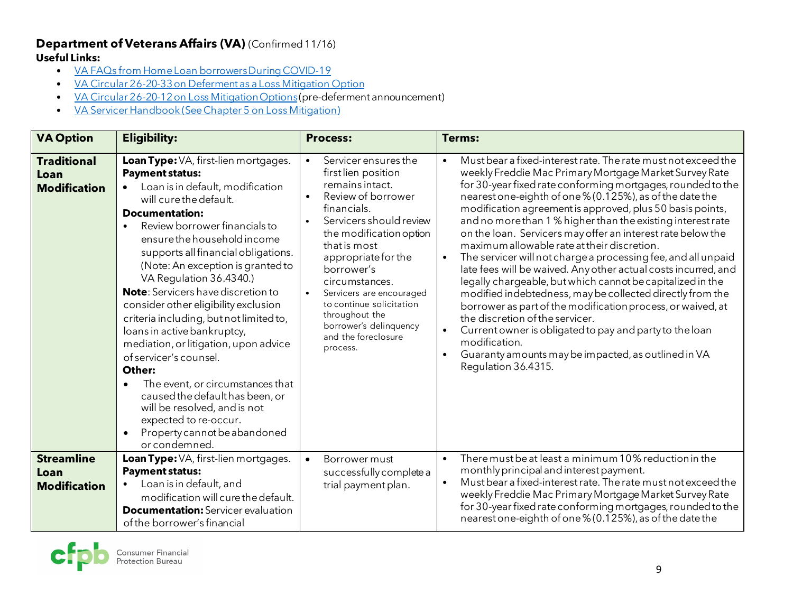### **Department of Veterans Affairs (VA)** (Confirmed 11/16) **Useful Links:**

- [VA FAQs from Home Loan borrowers During COVID-19](https://benefits.va.gov/homeloans/cares-act-frequently-asked-questions.asp#FAQ10)
- [VA Circular 26-20-33 on Deferment as a Loss Mitigation Option](https://www.benefits.va.gov/HOMELOANS/documents/circulars/26_20_33.pdf)
- [VA Circular 26-20-12 on Loss Mitigation Options](https://www.benefits.va.gov/HOMELOANS/documents/circulars/26_20_12.pdf)(pre-deferment announcement)
- [VA Servicer Handbook \(See Chapter 5 on Loss Mitigation\)](https://www.benefits.va.gov/WARMS/M26_4.asp)

| <b>VA Option</b>                                  | <b>Eligibility:</b>                                                                                                                                                                                                                                                                                                                                                                                                                                                                                                                                                                                                                                                                                                                                                    | <b>Process:</b>                                                                                                                                                                                                                                                                                                                                                         | Terms:                                                                                                                                                                                                                                                                                                                                                                                                                                                                                                                                                                                                                                                                                                                                                                                                                                                                                                                                                                                                                              |
|---------------------------------------------------|------------------------------------------------------------------------------------------------------------------------------------------------------------------------------------------------------------------------------------------------------------------------------------------------------------------------------------------------------------------------------------------------------------------------------------------------------------------------------------------------------------------------------------------------------------------------------------------------------------------------------------------------------------------------------------------------------------------------------------------------------------------------|-------------------------------------------------------------------------------------------------------------------------------------------------------------------------------------------------------------------------------------------------------------------------------------------------------------------------------------------------------------------------|-------------------------------------------------------------------------------------------------------------------------------------------------------------------------------------------------------------------------------------------------------------------------------------------------------------------------------------------------------------------------------------------------------------------------------------------------------------------------------------------------------------------------------------------------------------------------------------------------------------------------------------------------------------------------------------------------------------------------------------------------------------------------------------------------------------------------------------------------------------------------------------------------------------------------------------------------------------------------------------------------------------------------------------|
| <b>Traditional</b><br>Loan<br><b>Modification</b> | Loan Type: VA, first-lien mortgages.<br><b>Payment status:</b><br>Loan is in default, modification<br>will cure the default.<br><b>Documentation:</b><br>Review borrower financials to<br>ensure the household income<br>supports all financial obligations.<br>(Note: An exception is granted to<br>VA Regulation 36.4340.)<br><b>Note:</b> Servicers have discretion to<br>consider other eligibility exclusion<br>criteria including, but not limited to,<br>loans in active bankruptcy,<br>mediation, or litigation, upon advice<br>of servicer's counsel.<br>Other:<br>The event, or circumstances that<br>$\bullet$<br>caused the default has been, or<br>will be resolved, and is not<br>expected to re-occur.<br>Property cannot be abandoned<br>or condemned. | Servicer ensures the<br>first lien position<br>remains intact.<br>Review of borrower<br>financials.<br>Servicers should review<br>the modification option<br>that is most<br>appropriate for the<br>borrower's<br>circumstances.<br>Servicers are encouraged<br>to continue solicitation<br>throughout the<br>borrower's delinquency<br>and the foreclosure<br>process. | Must bear a fixed-interest rate. The rate must not exceed the<br>weekly Freddie Mac Primary Mortgage Market Survey Rate<br>for 30-year fixed rate conforming mortgages, rounded to the<br>nearest one-eighth of one % (0.125%), as of the date the<br>modification agreement is approved, plus 50 basis points,<br>and no more than 1 % higher than the existing interest rate<br>on the loan. Servicers may offer an interest rate below the<br>maximum allowable rate at their discretion.<br>The servicer will not charge a processing fee, and all unpaid<br>late fees will be waived. Any other actual costs incurred, and<br>legally chargeable, but which cannot be capitalized in the<br>modified indebtedness, may be collected directly from the<br>borrower as part of the modification process, or waived, at<br>the discretion of the servicer.<br>Current owner is obligated to pay and party to the loan<br>$\bullet$<br>modification.<br>Guaranty amounts may be impacted, as outlined in VA<br>Regulation 36.4315. |
| <b>Streamline</b><br>Loan<br><b>Modification</b>  | Loan Type: VA, first-lien mortgages.<br><b>Payment status:</b><br>Loan is in default, and<br>modification will cure the default.<br><b>Documentation:</b> Servicer evaluation<br>of the borrower's financial                                                                                                                                                                                                                                                                                                                                                                                                                                                                                                                                                           | Borrower must<br>$\bullet$<br>successfully complete a<br>trial payment plan.                                                                                                                                                                                                                                                                                            | There must be at least a minimum 10% reduction in the<br>$\bullet$<br>monthly principal and interest payment.<br>Must bear a fixed-interest rate. The rate must not exceed the<br>weekly Freddie Mac Primary Mortgage Market Survey Rate<br>for 30-year fixed rate conforming mortgages, rounded to the<br>nearest one-eighth of one % (0.125%), as of the date the                                                                                                                                                                                                                                                                                                                                                                                                                                                                                                                                                                                                                                                                 |

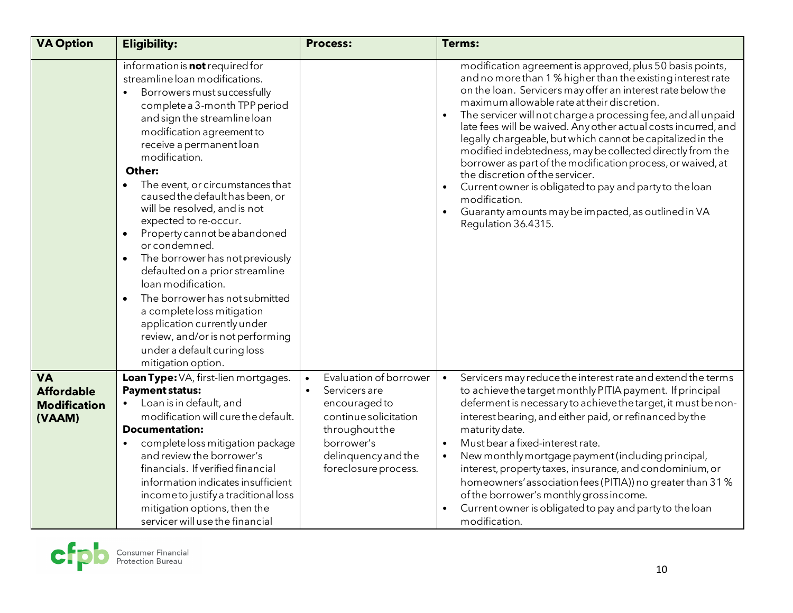| <b>VA Option</b>                                                | <b>Eligibility:</b>                                                                                                                                                                                                                                                                                                                                                                                                                                                                                                                                                                                                                                                                                                                                         | <b>Process:</b>                                                                                                                                                                            | <b>Terms:</b>                                                                                                                                                                                                                                                                                                                                                                                                                                                                                                                                                                                                                                                                                                                                                    |
|-----------------------------------------------------------------|-------------------------------------------------------------------------------------------------------------------------------------------------------------------------------------------------------------------------------------------------------------------------------------------------------------------------------------------------------------------------------------------------------------------------------------------------------------------------------------------------------------------------------------------------------------------------------------------------------------------------------------------------------------------------------------------------------------------------------------------------------------|--------------------------------------------------------------------------------------------------------------------------------------------------------------------------------------------|------------------------------------------------------------------------------------------------------------------------------------------------------------------------------------------------------------------------------------------------------------------------------------------------------------------------------------------------------------------------------------------------------------------------------------------------------------------------------------------------------------------------------------------------------------------------------------------------------------------------------------------------------------------------------------------------------------------------------------------------------------------|
|                                                                 | information is <b>not</b> required for<br>streamline loan modifications.<br>Borrowers must successfully<br>$\bullet$<br>complete a 3-month TPP period<br>and sign the streamline loan<br>modification agreement to<br>receive a permanent loan<br>modification.<br>Other:<br>The event, or circumstances that<br>caused the default has been, or<br>will be resolved, and is not<br>expected to re-occur.<br>Property cannot be abandoned<br>or condemned.<br>The borrower has not previously<br>defaulted on a prior streamline<br>loan modification.<br>The borrower has not submitted<br>$\bullet$<br>a complete loss mitigation<br>application currently under<br>review, and/or is not performing<br>under a default curing loss<br>mitigation option. |                                                                                                                                                                                            | modification agreement is approved, plus 50 basis points,<br>and no more than 1 % higher than the existing interest rate<br>on the loan. Servicers may offer an interest rate below the<br>maximum allowable rate at their discretion.<br>The servicer will not charge a processing fee, and all unpaid<br>late fees will be waived. Any other actual costs incurred, and<br>legally chargeable, but which cannot be capitalized in the<br>modified indebtedness, may be collected directly from the<br>borrower as part of the modification process, or waived, at<br>the discretion of the servicer.<br>Current owner is obligated to pay and party to the loan<br>modification.<br>Guaranty amounts may be impacted, as outlined in VA<br>Regulation 36.4315. |
| <b>VA</b><br><b>Affordable</b><br><b>Modification</b><br>(VAAM) | Loan Type: VA, first-lien mortgages.<br><b>Payment status:</b><br>Loan is in default, and<br>$\bullet$<br>modification will cure the default.<br><b>Documentation:</b><br>complete loss mitigation package<br>$\bullet$<br>and review the borrower's<br>financials. If verified financial<br>information indicates insufficient<br>income to justify a traditional loss<br>mitigation options, then the<br>servicer will use the financial                                                                                                                                                                                                                                                                                                                  | Evaluation of borrower<br>$\bullet$<br>Servicers are<br>$\bullet$<br>encouraged to<br>continue solicitation<br>throughout the<br>borrower's<br>delinquency and the<br>foreclosure process. | Servicers may reduce the interest rate and extend the terms<br>$\bullet$<br>to achieve the target monthly PITIA payment. If principal<br>deferment is necessary to achieve the target, it must be non-<br>interest bearing, and either paid, or refinanced by the<br>maturity date.<br>Must bear a fixed-interest rate.<br>New monthly mortgage payment (including principal,<br>$\bullet$<br>interest, property taxes, insurance, and condominium, or<br>homeowners' association fees (PITIA)) no greater than 31 %<br>of the borrower's monthly grossincome.<br>Current owner is obligated to pay and party to the loan<br>modification.                                                                                                                       |

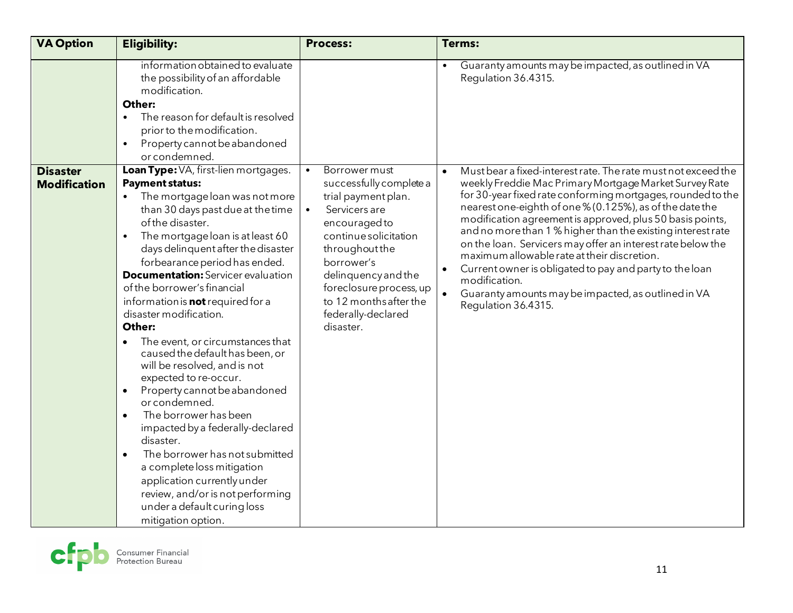| <b>VA Option</b>                       | <b>Eligibility:</b>                                                                                                                                                                                                                                                                                                                                                                                                                                                                                                                                                                                                                                                                                                                                                                                                                                                                                                                                  | <b>Process:</b>                                                                                                                                                                                                                                                                                     | <b>Terms:</b>                                                                                                                                                                                                                                                                                                                                                                                                                                                                                                                                                                                                                                                                    |
|----------------------------------------|------------------------------------------------------------------------------------------------------------------------------------------------------------------------------------------------------------------------------------------------------------------------------------------------------------------------------------------------------------------------------------------------------------------------------------------------------------------------------------------------------------------------------------------------------------------------------------------------------------------------------------------------------------------------------------------------------------------------------------------------------------------------------------------------------------------------------------------------------------------------------------------------------------------------------------------------------|-----------------------------------------------------------------------------------------------------------------------------------------------------------------------------------------------------------------------------------------------------------------------------------------------------|----------------------------------------------------------------------------------------------------------------------------------------------------------------------------------------------------------------------------------------------------------------------------------------------------------------------------------------------------------------------------------------------------------------------------------------------------------------------------------------------------------------------------------------------------------------------------------------------------------------------------------------------------------------------------------|
|                                        | information obtained to evaluate<br>the possibility of an affordable<br>modification.<br>Other:<br>The reason for default is resolved<br>$\bullet$<br>prior to the modification.<br>Property cannot be abandoned<br>$\bullet$<br>or condemned.                                                                                                                                                                                                                                                                                                                                                                                                                                                                                                                                                                                                                                                                                                       |                                                                                                                                                                                                                                                                                                     | Guaranty amounts may be impacted, as outlined in VA<br>Regulation 36.4315.                                                                                                                                                                                                                                                                                                                                                                                                                                                                                                                                                                                                       |
| <b>Disaster</b><br><b>Modification</b> | Loan Type: VA, first-lien mortgages.<br><b>Payment status:</b><br>The mortgage loan was not more<br>$\bullet$<br>than 30 days past due at the time<br>of the disaster.<br>The mortgage loan is at least 60<br>$\bullet$<br>days delinquent after the disaster<br>forbearance period has ended.<br><b>Documentation:</b> Servicer evaluation<br>of the borrower's financial<br>information is <b>not</b> required for a<br>disaster modification.<br>Other:<br>The event, or circumstances that<br>caused the default has been, or<br>will be resolved, and is not<br>expected to re-occur.<br>Property cannot be abandoned<br>$\bullet$<br>or condemned.<br>The borrower has been<br>$\bullet$<br>impacted by a federally-declared<br>disaster.<br>The borrower has not submitted<br>$\bullet$<br>a complete loss mitigation<br>application currently under<br>review, and/or is not performing<br>under a default curing loss<br>mitigation option. | Borrower must<br>$\bullet$<br>successfully complete a<br>trial payment plan.<br>Servicers are<br>$\bullet$<br>encouraged to<br>continue solicitation<br>throughout the<br>borrower's<br>delinquency and the<br>foreclosure process, up<br>to 12 months after the<br>federally-declared<br>disaster. | Must bear a fixed-interest rate. The rate must not exceed the<br>$\bullet$<br>weekly Freddie Mac Primary Mortgage Market Survey Rate<br>for 30-year fixed rate conforming mortgages, rounded to the<br>nearest one-eighth of one % (0.125%), as of the date the<br>modification agreement is approved, plus 50 basis points,<br>and no more than 1 % higher than the existing interest rate<br>on the loan. Servicers may offer an interest rate below the<br>maximum allowable rate at their discretion.<br>Current owner is obligated to pay and party to the loan<br>$\bullet$<br>modification.<br>Guaranty amounts may be impacted, as outlined in VA<br>Regulation 36.4315. |

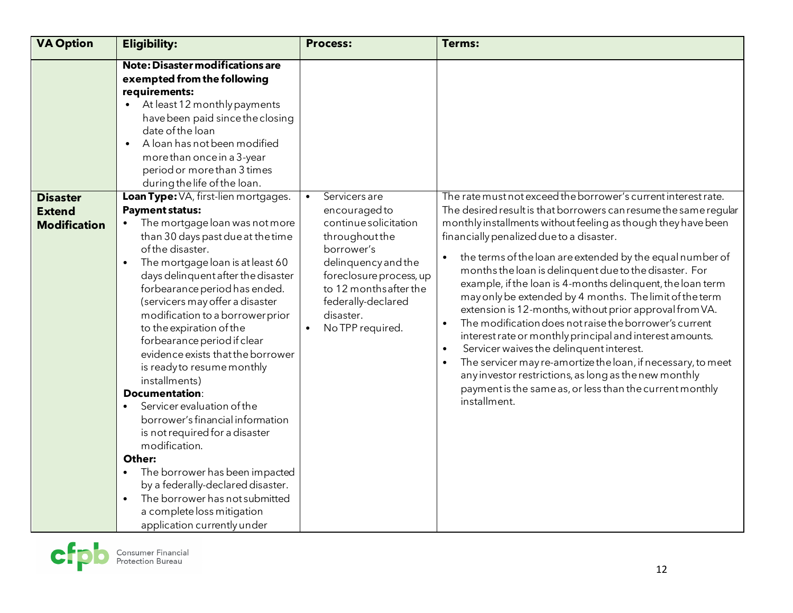| <b>VA Option</b>                                        | <b>Eligibility:</b>                                                                                                                                                                                                                                                                                                                                                                                                                                                                                                                                                                                                                                                                                                                                                                                                                                             | <b>Process:</b>                                                                                                                                                                                                                         | <b>Terms:</b>                                                                                                                                                                                                                                                                                                                                                                                                                                                                                                                                                                                                                                                                                                                                                                                                                                                                                                                                                            |
|---------------------------------------------------------|-----------------------------------------------------------------------------------------------------------------------------------------------------------------------------------------------------------------------------------------------------------------------------------------------------------------------------------------------------------------------------------------------------------------------------------------------------------------------------------------------------------------------------------------------------------------------------------------------------------------------------------------------------------------------------------------------------------------------------------------------------------------------------------------------------------------------------------------------------------------|-----------------------------------------------------------------------------------------------------------------------------------------------------------------------------------------------------------------------------------------|--------------------------------------------------------------------------------------------------------------------------------------------------------------------------------------------------------------------------------------------------------------------------------------------------------------------------------------------------------------------------------------------------------------------------------------------------------------------------------------------------------------------------------------------------------------------------------------------------------------------------------------------------------------------------------------------------------------------------------------------------------------------------------------------------------------------------------------------------------------------------------------------------------------------------------------------------------------------------|
|                                                         | Note: Disaster modifications are<br>exempted from the following<br>requirements:<br>• At least 12 monthly payments<br>have been paid since the closing<br>date of the loan<br>A loan has not been modified<br>$\bullet$<br>more than once in a 3-year<br>period or more than 3 times<br>during the life of the loan.                                                                                                                                                                                                                                                                                                                                                                                                                                                                                                                                            |                                                                                                                                                                                                                                         |                                                                                                                                                                                                                                                                                                                                                                                                                                                                                                                                                                                                                                                                                                                                                                                                                                                                                                                                                                          |
| <b>Disaster</b><br><b>Extend</b><br><b>Modification</b> | Loan Type: VA, first-lien mortgages.<br><b>Payment status:</b><br>The mortgage loan was not more<br>than 30 days past due at the time<br>of the disaster.<br>The mortgage loan is at least 60<br>days delinquent after the disaster<br>forbearance period has ended.<br>(servicers may offer a disaster<br>modification to a borrower prior<br>to the expiration of the<br>forbearance period if clear<br>evidence exists that the borrower<br>is ready to resume monthly<br>installments)<br><b>Documentation:</b><br>Servicer evaluation of the<br>$\bullet$<br>borrower's financial information<br>is not required for a disaster<br>modification.<br>Other:<br>The borrower has been impacted<br>$\bullet$<br>by a federally-declared disaster.<br>The borrower has not submitted<br>$\bullet$<br>a complete loss mitigation<br>application currently under | Servicers are<br>$\bullet$<br>encouraged to<br>continue solicitation<br>throughout the<br>borrower's<br>delinquency and the<br>foreclosure process, up<br>to 12 months after the<br>federally-declared<br>disaster.<br>No TPP required. | The rate must not exceed the borrower's current interest rate.<br>The desired result is that borrowers can resume the same regular<br>monthly installments without feeling as though they have been<br>financially penalized due to a disaster.<br>the terms of the loan are extended by the equal number of<br>$\bullet$<br>months the loan is delinquent due to the disaster. For<br>example, if the loan is 4-months delinquent, the loan term<br>may only be extended by 4 months. The limit of the term<br>extension is 12-months, without prior approval from VA.<br>The modification does not raise the borrower's current<br>$\bullet$<br>interest rate or monthly principal and interest amounts.<br>Servicer waives the delinquent interest.<br>$\bullet$<br>The servicer may re-amortize the loan, if necessary, to meet<br>any investor restrictions, as long as the new monthly<br>payment is the same as, or less than the current monthly<br>installment. |

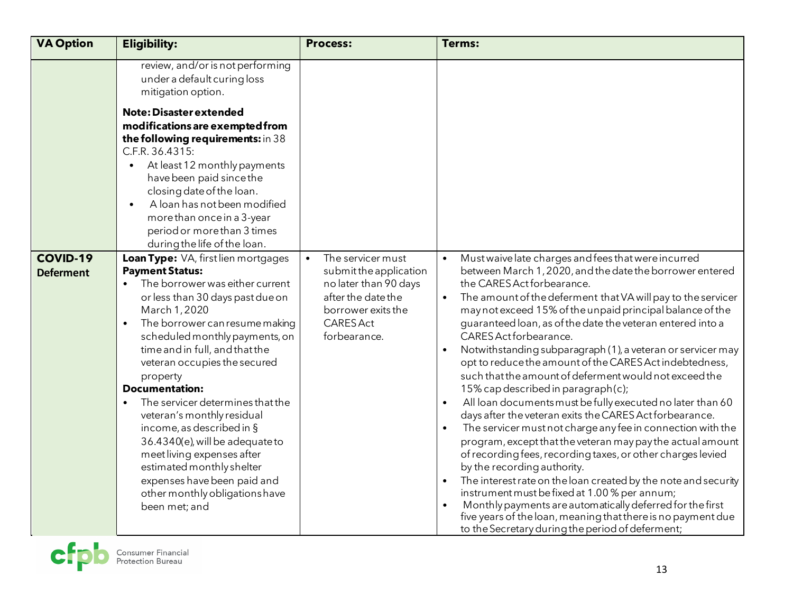| <b>VA Option</b>                    | <b>Eligibility:</b>                                                                                                                                                                                                                                                                                                                                                                                                                                                                                                                                                                                                                       | <b>Process:</b>                                                                                                                                                   | <b>Terms:</b>                                                                                                                                                                                                                                                                                                                                                                                                                                                                                                                                                                                                                                                                                                                                                                                                                                                                                                                                                                                                                                                                                                                                                                                                                                                                                 |
|-------------------------------------|-------------------------------------------------------------------------------------------------------------------------------------------------------------------------------------------------------------------------------------------------------------------------------------------------------------------------------------------------------------------------------------------------------------------------------------------------------------------------------------------------------------------------------------------------------------------------------------------------------------------------------------------|-------------------------------------------------------------------------------------------------------------------------------------------------------------------|-----------------------------------------------------------------------------------------------------------------------------------------------------------------------------------------------------------------------------------------------------------------------------------------------------------------------------------------------------------------------------------------------------------------------------------------------------------------------------------------------------------------------------------------------------------------------------------------------------------------------------------------------------------------------------------------------------------------------------------------------------------------------------------------------------------------------------------------------------------------------------------------------------------------------------------------------------------------------------------------------------------------------------------------------------------------------------------------------------------------------------------------------------------------------------------------------------------------------------------------------------------------------------------------------|
|                                     | review, and/or is not performing<br>under a default curing loss<br>mitigation option.                                                                                                                                                                                                                                                                                                                                                                                                                                                                                                                                                     |                                                                                                                                                                   |                                                                                                                                                                                                                                                                                                                                                                                                                                                                                                                                                                                                                                                                                                                                                                                                                                                                                                                                                                                                                                                                                                                                                                                                                                                                                               |
|                                     | <b>Note: Disaster extended</b><br>modifications are exempted from<br>the following requirements: in 38<br>C.F.R. 36.4315:<br>At least 12 monthly payments<br>$\bullet$<br>have been paid since the<br>closing date of the loan.<br>A loan has not been modified<br>$\bullet$<br>more than once in a 3-year<br>period or more than 3 times<br>during the life of the loan.                                                                                                                                                                                                                                                                 |                                                                                                                                                                   |                                                                                                                                                                                                                                                                                                                                                                                                                                                                                                                                                                                                                                                                                                                                                                                                                                                                                                                                                                                                                                                                                                                                                                                                                                                                                               |
| <b>COVID-19</b><br><b>Deferment</b> | Loan Type: VA, first lien mortgages<br><b>Payment Status:</b><br>The borrower was either current<br>$\bullet$<br>or less than 30 days past due on<br>March 1, 2020<br>The borrower can resume making<br>scheduled monthly payments, on<br>time and in full, and that the<br>veteran occupies the secured<br>property<br><b>Documentation:</b><br>The servicer determines that the<br>$\bullet$<br>veteran's monthly residual<br>income, as described in §<br>36.4340(e), will be adequate to<br>meet living expenses after<br>estimated monthly shelter<br>expenses have been paid and<br>other monthly obligations have<br>been met; and | The servicer must<br>$\bullet$<br>submit the application<br>no later than 90 days<br>after the date the<br>borrower exits the<br><b>CARES Act</b><br>forbearance. | Must waive late charges and fees that were incurred<br>$\bullet$<br>between March 1, 2020, and the date the borrower entered<br>the CARES Act for bearance.<br>The amount of the deferment that VA will pay to the servicer<br>may not exceed 15% of the unpaid principal balance of the<br>guaranteed loan, as of the date the veteran entered into a<br>CARES Act for bearance.<br>Notwithstanding subparagraph (1), a veteran or servicer may<br>opt to reduce the amount of the CARES Act indebtedness,<br>such that the amount of deferment would not exceed the<br>15% cap described in paragraph(c);<br>All loan documents must be fully executed no later than 60<br>$\bullet$<br>days after the veteran exits the CARES Act forbearance.<br>The servicer must not charge any fee in connection with the<br>program, except that the veteran may pay the actual amount<br>of recording fees, recording taxes, or other charges levied<br>by the recording authority.<br>The interest rate on the loan created by the note and security<br>$\bullet$<br>instrument must be fixed at 1.00 % per annum;<br>Monthly payments are automatically deferred for the first<br>five years of the loan, meaning that there is no payment due<br>to the Secretary during the period of deferment; |

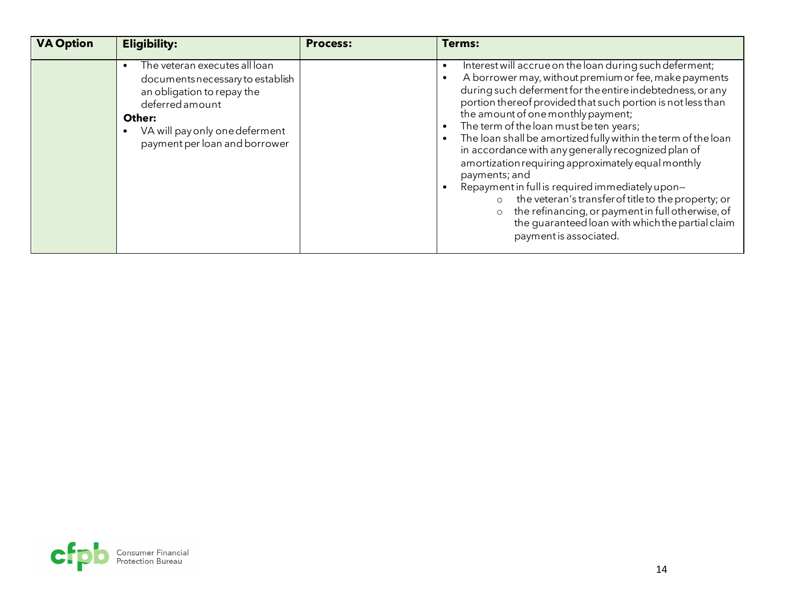| <b>VA Option</b> | <b>Eligibility:</b>                                                                                                                                                                             | <b>Process:</b> | Terms:                                                                                                                                                                                                                                                                                                                                                                                                                                                                                                                                                                                                                                                                                                                                                                                          |
|------------------|-------------------------------------------------------------------------------------------------------------------------------------------------------------------------------------------------|-----------------|-------------------------------------------------------------------------------------------------------------------------------------------------------------------------------------------------------------------------------------------------------------------------------------------------------------------------------------------------------------------------------------------------------------------------------------------------------------------------------------------------------------------------------------------------------------------------------------------------------------------------------------------------------------------------------------------------------------------------------------------------------------------------------------------------|
|                  | The veteran executes all loan<br>documents necessary to establish<br>an obligation to repay the<br>deferred amount<br>Other:<br>VA will pay only one deferment<br>payment per loan and borrower |                 | Interest will accrue on the loan during such deferment;<br>A borrower may, without premium or fee, make payments<br>during such deferment for the entire indebtedness, or any<br>portion thereof provided that such portion is not less than<br>the amount of one monthly payment;<br>The term of the loan must be ten years;<br>The loan shall be amortized fully within the term of the loan<br>in accordance with any generally recognized plan of<br>amortization requiring approximately equal monthly<br>payments; and<br>Repayment in full is required immediately upon-<br>the veteran's transfer of title to the property; or<br>$\circ$<br>the refinancing, or payment in full otherwise, of<br>$\circ$<br>the quaranteed loan with which the partial claim<br>payment is associated. |

<span id="page-13-0"></span>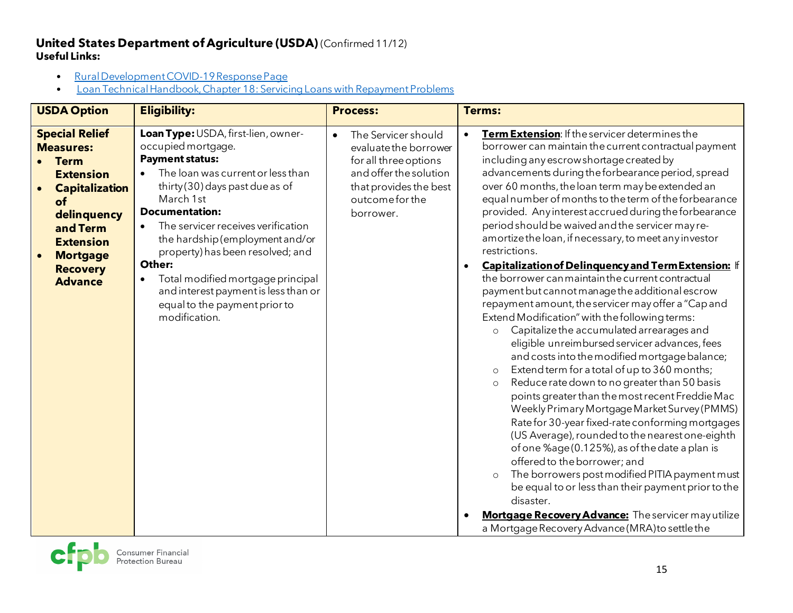### **United States Department of Agriculture (USDA)** (Confirmed 11/12) **Useful Links:**

- [Rural Development COVID-19 Response Page](https://www.rd.usda.gov/coronavirus)
- [Loan Technical Handbook, Chapter 18: Servicing Loans with Repayment Problems](https://www.rd.usda.gov/sites/default/files/3555-1chapter18.pdf)

| <b>USDA Option</b>                                                                                                                                                                                                 | <b>Eligibility:</b>                                                                                                                                                                                                                                                                                                                                                                                                                                                               | <b>Process:</b>                                                                                                                                           | <b>Terms:</b>                                                                                                                                                                                                                                                                                                                                                                                                                                                                                                                                                                                                                                                                                                                                                                                                                                                                                                                                                                                                                                                                                                                                                                                                                                                                                                                                                                                                                                                                                                                                                                                                                           |
|--------------------------------------------------------------------------------------------------------------------------------------------------------------------------------------------------------------------|-----------------------------------------------------------------------------------------------------------------------------------------------------------------------------------------------------------------------------------------------------------------------------------------------------------------------------------------------------------------------------------------------------------------------------------------------------------------------------------|-----------------------------------------------------------------------------------------------------------------------------------------------------------|-----------------------------------------------------------------------------------------------------------------------------------------------------------------------------------------------------------------------------------------------------------------------------------------------------------------------------------------------------------------------------------------------------------------------------------------------------------------------------------------------------------------------------------------------------------------------------------------------------------------------------------------------------------------------------------------------------------------------------------------------------------------------------------------------------------------------------------------------------------------------------------------------------------------------------------------------------------------------------------------------------------------------------------------------------------------------------------------------------------------------------------------------------------------------------------------------------------------------------------------------------------------------------------------------------------------------------------------------------------------------------------------------------------------------------------------------------------------------------------------------------------------------------------------------------------------------------------------------------------------------------------------|
| <b>Special Relief</b><br><b>Measures:</b><br><b>Term</b><br><b>Extension</b><br><b>Capitalization</b><br>of<br>delinquency<br>and Term<br><b>Extension</b><br><b>Mortgage</b><br><b>Recovery</b><br><b>Advance</b> | Loan Type: USDA, first-lien, owner-<br>occupied mortgage.<br><b>Payment status:</b><br>The loan was current or less than<br>$\bullet$<br>thirty (30) days past due as of<br>March 1st<br><b>Documentation:</b><br>The servicer receives verification<br>the hardship (employment and/or<br>property) has been resolved; and<br>Other:<br>Total modified mortgage principal<br>$\bullet$<br>and interest payment is less than or<br>equal to the payment prior to<br>modification. | The Servicer should<br>evaluate the borrower<br>for all three options<br>and offer the solution<br>that provides the best<br>outcome for the<br>borrower. | Term Extension: If the servicer determines the<br>$\bullet$<br>borrower can maintain the current contractual payment<br>including any escrow shortage created by<br>advancements during the forbearance period, spread<br>over 60 months, the loan term may be extended an<br>equal number of months to the term of the forbearance<br>provided. Any interest accrued during the forbearance<br>period should be waived and the servicer may re-<br>amortize the loan, if necessary, to meet any investor<br>restrictions.<br>Capitalization of Delinquency and Term Extension: If<br>$\bullet$<br>the borrower can maintain the current contractual<br>payment but cannot manage the additional escrow<br>repayment amount, the servicer may offer a "Cap and<br>Extend Modification" with the following terms:<br>Capitalize the accumulated arrearages and<br>$\circ$<br>eligible unreimbursed servicer advances, fees<br>and costs into the modified mortgage balance;<br>Extend term for a total of up to 360 months;<br>$\circ$<br>Reduce rate down to no greater than 50 basis<br>$\circ$<br>points greater than the most recent Freddie Mac<br>Weekly Primary Mortgage Market Survey (PMMS)<br>Rate for 30-year fixed-rate conforming mortgages<br>(US Average), rounded to the nearest one-eighth<br>of one %age (0.125%), as of the date a plan is<br>offered to the borrower; and<br>The borrowers post modified PITIA payment must<br>$\circ$<br>be equal to or less than their payment prior to the<br>disaster.<br>Mortgage Recovery Advance: The servicer may utilize<br>a Mortgage Recovery Advance (MRA) to settle the |

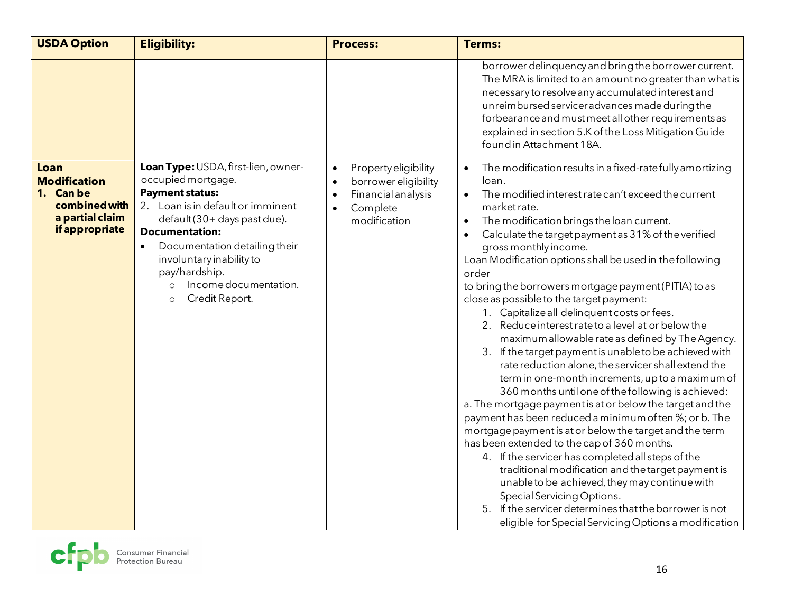| <b>USDA Option</b>                                                                             | <b>Eligibility:</b>                                                                                                                                                                                                                                                                                                   | <b>Process:</b>                                                                                                                                    | <b>Terms:</b>                                                                                                                                                                                                                                                                                                                                                                                                                                                                                                                                                                                                                                                                                                                                                                                                                                                                                                                                                                                                                                                                                                                                                                                                                                                                                                                                                                                   |
|------------------------------------------------------------------------------------------------|-----------------------------------------------------------------------------------------------------------------------------------------------------------------------------------------------------------------------------------------------------------------------------------------------------------------------|----------------------------------------------------------------------------------------------------------------------------------------------------|-------------------------------------------------------------------------------------------------------------------------------------------------------------------------------------------------------------------------------------------------------------------------------------------------------------------------------------------------------------------------------------------------------------------------------------------------------------------------------------------------------------------------------------------------------------------------------------------------------------------------------------------------------------------------------------------------------------------------------------------------------------------------------------------------------------------------------------------------------------------------------------------------------------------------------------------------------------------------------------------------------------------------------------------------------------------------------------------------------------------------------------------------------------------------------------------------------------------------------------------------------------------------------------------------------------------------------------------------------------------------------------------------|
|                                                                                                |                                                                                                                                                                                                                                                                                                                       |                                                                                                                                                    | borrower delinquency and bring the borrower current.<br>The MRA is limited to an amount no greater than what is<br>necessary to resolve any accumulated interest and<br>unreimbursed servicer advances made during the<br>forbearance and must meet all other requirements as<br>explained in section 5.K of the Loss Mitigation Guide<br>found in Attachment 18A.                                                                                                                                                                                                                                                                                                                                                                                                                                                                                                                                                                                                                                                                                                                                                                                                                                                                                                                                                                                                                              |
| Loan<br><b>Modification</b><br>1. Can be<br>combined with<br>a partial claim<br>if appropriate | Loan Type: USDA, first-lien, owner-<br>occupied mortgage.<br><b>Payment status:</b><br>2. Loan is in default or imminent<br>default (30+ days past due).<br><b>Documentation:</b><br>Documentation detailing their<br>involuntary inability to<br>pay/hardship.<br>Income documentation.<br>Credit Report.<br>$\circ$ | Property eligibility<br>$\bullet$<br>borrower eligibility<br>$\bullet$<br>Financial analysis<br>$\bullet$<br>Complete<br>$\bullet$<br>modification | The modification results in a fixed-rate fully amortizing<br>loan.<br>The modified interest rate can't exceed the current<br>market rate.<br>The modification brings the loan current.<br>$\bullet$<br>Calculate the target payment as 31% of the verified<br>gross monthly income.<br>Loan Modification options shall be used in the following<br>order<br>to bring the borrowers mortgage payment (PITIA) to as<br>close as possible to the target payment:<br>1. Capitalize all delinquent costs or fees.<br>2. Reduce interest rate to a level at or below the<br>maximum allowable rate as defined by The Agency.<br>3. If the target payment is unable to be achieved with<br>rate reduction alone, the servicer shall extend the<br>term in one-month increments, up to a maximum of<br>360 months until one of the following is achieved:<br>a. The mortgage payment is at or below the target and the<br>payment has been reduced a minimum of ten %; or b. The<br>mortgage payment is at or below the target and the term<br>has been extended to the cap of 360 months.<br>4. If the servicer has completed all steps of the<br>traditional modification and the target payment is<br>unable to be achieved, they may continue with<br>Special Servicing Options.<br>5. If the servicer determines that the borrower is not<br>eligible for Special Servicing Options a modification |